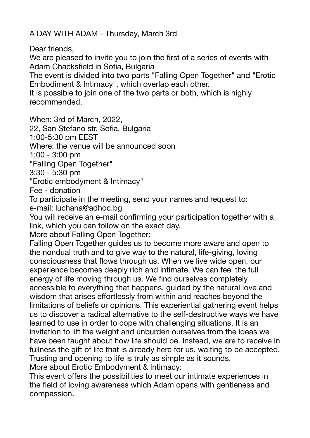A DAY WITH ADAM - Thursday, March 3rd

Dear friends,

We are pleased to invite you to join the first of a series of events with Adam Chacksfield in Sofia, Bulgaria

The event is divided into two parts "Falling Open Together" and "Erotic Embodiment & Intimacy", which overlap each other.

It is possible to join one of the two parts or both, which is highly recommended.

When: 3rd of March, 2022,

22, San Stefano str. Sofia, Bulgaria

1:00-5:30 pm EEST

Where: the venue will be announced soon

1:00 - 3:00 pm

"Falling Open Together"

3:30 - 5:30 pm

"Erotic embodyment & Intimacy"

Fee - donation

To participate in the meeting, send your names and request to: e-mail: luchana@adhoc.bg

You will receive an e-mail confirming your participation together with a link, which you can follow on the exact day.

More about Falling Open Together:

Falling Open Together guides us to become more aware and open to the nondual truth and to give way to the natural, life-giving, loving consciousness that flows through us. When we live wide open, our experience becomes deeply rich and intimate. We can feel the full energy of life moving through us. We find ourselves completely accessible to everything that happens, guided by the natural love and wisdom that arises effortlessly from within and reaches beyond the limitations of beliefs or opinions. This experiential gathering event helps us to discover a radical alternative to the self-destructive ways we have learned to use in order to cope with challenging situations. It is an invitation to lift the weight and unburden ourselves from the ideas we have been taught about how life should be. Instead, we are to receive in fullness the gift of life that is already here for us, waiting to be accepted. Trusting and opening to life is truly as simple as it sounds. More about Erotic Embodyment & Intimacy:

This event offers the possibilities to meet our intimate experiences in the field of loving awareness which Adam opens with gentleness and compassion.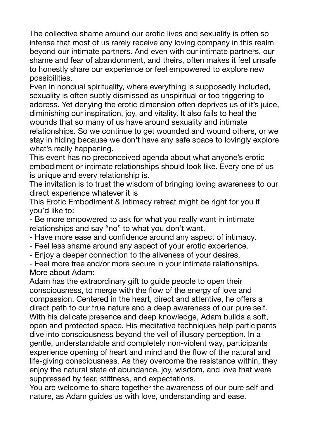The collective shame around our erotic lives and sexuality is often so intense that most of us rarely receive any loving company in this realm beyond our intimate partners. And even with our intimate partners, our shame and fear of abandonment, and theirs, often makes it feel unsafe to honestly share our experience or feel empowered to explore new possibilities.

Even in nondual spirituality, where everything is supposedly included, sexuality is often subtly dismissed as unspiritual or too triggering to address. Yet denying the erotic dimension often deprives us of it's juice, diminishing our inspiration, joy, and vitality. It also fails to heal the wounds that so many of us have around sexuality and intimate relationships. So we continue to get wounded and wound others, or we stay in hiding because we don't have any safe space to lovingly explore what's really happening.

This event has no preconceived agenda about what anyone's erotic embodiment or intimate relationships should look like. Every one of us is unique and every relationship is.

The invitation is to trust the wisdom of bringing loving awareness to our direct experience whatever it is

This Erotic Embodiment & Intimacy retreat might be right for you if you'd like to:

- Be more empowered to ask for what you really want in intimate relationships and say "no" to what you don't want.

- Have more ease and confidence around any aspect of intimacy.
- Feel less shame around any aspect of your erotic experience.
- Enjoy a deeper connection to the aliveness of your desires.

- Feel more free and/or more secure in your intimate relationships. More about Adam:

Adam has the extraordinary gift to guide people to open their consciousness, to merge with the flow of the energy of love and compassion. Centered in the heart, direct and attentive, he offers a direct path to our true nature and a deep awareness of our pure self. With his delicate presence and deep knowledge, Adam builds a soft, open and protected space. His meditative techniques help participants dive into consciousness beyond the veil of illusory perception. In a gentle, understandable and completely non-violent way, participants experience opening of heart and mind and the flow of the natural and life-giving consciousness. As they overcome the resistance within, they enjoy the natural state of abundance, joy, wisdom, and love that were suppressed by fear, stiffness, and expectations.

You are welcome to share together the awareness of our pure self and nature, as Adam guides us with love, understanding and ease.